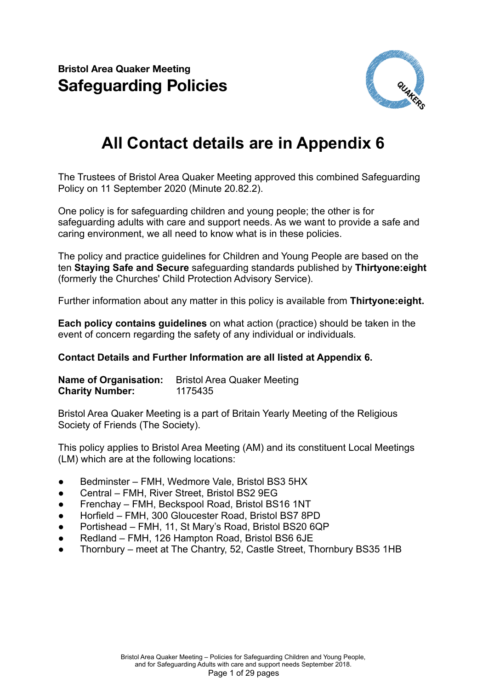**Bristol Area Quaker Meeting Safeguarding Policies**



# **All Contact details are in Appendix 6**

The Trustees of Bristol Area Quaker Meeting approved this combined Safeguarding Policy on 11 September 2020 (Minute 20.82.2).

One policy is for safeguarding children and young people; the other is for safeguarding adults with care and support needs. As we want to provide a safe and caring environment, we all need to know what is in these policies.

The policy and practice guidelines for Children and Young People are based on the ten **Staying Safe and Secure** safeguarding standards published by **Thirtyone:eight** (formerly the Churches' Child Protection Advisory Service).

Further information about any matter in this policy is available from **Thirtyone:eight.**

**Each policy contains guidelines** on what action (practice) should be taken in the event of concern regarding the safety of any individual or individuals*.*

#### **Contact Details and Further Information are all listed at Appendix 6.**

**Name of Organisation:** Bristol Area Quaker Meeting **Charity Number:** 1175435

Bristol Area Quaker Meeting is a part of Britain Yearly Meeting of the Religious Society of Friends (The Society).

This policy applies to Bristol Area Meeting (AM) and its constituent Local Meetings (LM) which are at the following locations:

- Bedminster FMH, Wedmore Vale, Bristol BS3 5HX
- Central FMH, River Street, Bristol BS2 9EG
- Frenchay FMH, Beckspool Road, Bristol BS16 1NT
- Horfield FMH, 300 Gloucester Road, Bristol BS7 8PD
- Portishead FMH, 11, St Mary's Road, Bristol BS20 6QP
- Redland FMH, 126 Hampton Road, Bristol BS6 6JE
- Thornbury meet at The Chantry, 52, Castle Street, Thornbury BS35 1HB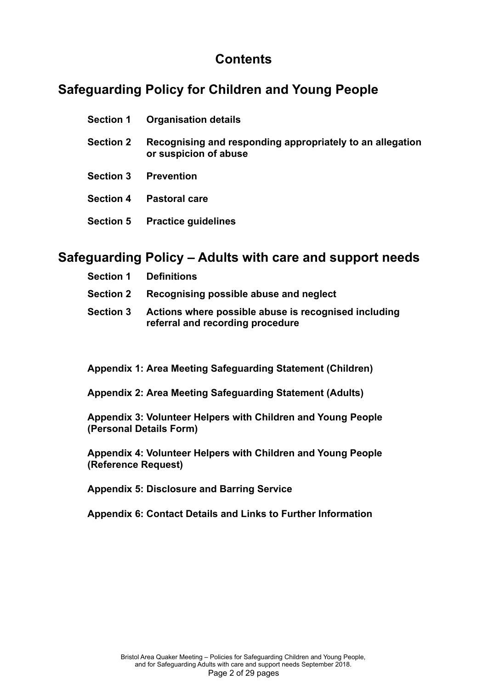## **Contents**

## **Safeguarding Policy for Children and Young People**

| <b>Section 1</b> | <b>Organisation details</b>                                                        |
|------------------|------------------------------------------------------------------------------------|
| <b>Section 2</b> | Recognising and responding appropriately to an allegation<br>or suspicion of abuse |
| <b>Section 3</b> | <b>Prevention</b>                                                                  |
| <b>Section 4</b> | <b>Pastoral care</b>                                                               |

**Section 5 Practice guidelines**

## **Safeguarding Policy – Adults with care and support needs**

|                  | <b>Section 1 Definitions</b>                                                             |
|------------------|------------------------------------------------------------------------------------------|
| <b>Section 2</b> | Recognising possible abuse and neglect                                                   |
| <b>Section 3</b> | Actions where possible abuse is recognised including<br>referral and recording procedure |

**Appendix 1: Area Meeting Safeguarding Statement (Children)**

**Appendix 2: Area Meeting Safeguarding Statement (Adults)**

**Appendix 3: Volunteer Helpers with Children and Young People (Personal Details Form)**

**Appendix 4: Volunteer Helpers with Children and Young People (Reference Request)**

**Appendix 5: Disclosure and Barring Service**

**Appendix 6: Contact Details and Links to Further Information**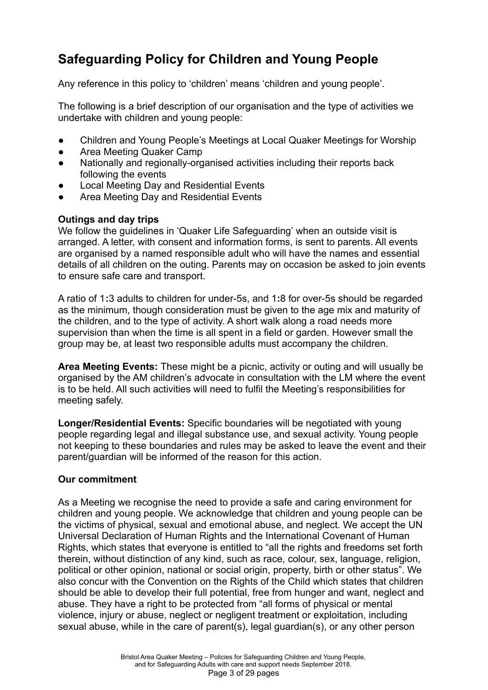# **Safeguarding Policy for Children and Young People**

Any reference in this policy to 'children' means 'children and young people'.

The following is a brief description of our organisation and the type of activities we undertake with children and young people:

- Children and Young People's Meetings at Local Quaker Meetings for Worship
- Area Meeting Quaker Camp
- Nationally and regionally-organised activities including their reports back following the events
- **Local Meeting Day and Residential Events**
- Area Meeting Day and Residential Events

#### **Outings and day trips**

We follow the guidelines in 'Quaker Life Safeguarding' when an outside visit is arranged. A letter, with consent and information forms, is sent to parents. All events are organised by a named responsible adult who will have the names and essential details of all children on the outing. Parents may on occasion be asked to join events to ensure safe care and transport.

A ratio of 1**:**3 adults to children for under-5s, and 1**:**8 for over-5s should be regarded as the minimum, though consideration must be given to the age mix and maturity of the children, and to the type of activity. A short walk along a road needs more supervision than when the time is all spent in a field or garden. However small the group may be, at least two responsible adults must accompany the children.

**Area Meeting Events:** These might be a picnic, activity or outing and will usually be organised by the AM children's advocate in consultation with the LM where the event is to be held. All such activities will need to fulfil the Meeting's responsibilities for meeting safely.

**Longer/Residential Events:** Specific boundaries will be negotiated with young people regarding legal and illegal substance use, and sexual activity. Young people not keeping to these boundaries and rules may be asked to leave the event and their parent/guardian will be informed of the reason for this action.

## **Our commitment**

As a Meeting we recognise the need to provide a safe and caring environment for children and young people. We acknowledge that children and young people can be the victims of physical, sexual and emotional abuse, and neglect. We accept the UN Universal Declaration of Human Rights and the International Covenant of Human Rights, which states that everyone is entitled to "all the rights and freedoms set forth therein, without distinction of any kind, such as race, colour, sex, language, religion, political or other opinion, national or social origin, property, birth or other status". We also concur with the Convention on the Rights of the Child which states that children should be able to develop their full potential, free from hunger and want, neglect and abuse. They have a right to be protected from "all forms of physical or mental violence, injury or abuse, neglect or negligent treatment or exploitation, including sexual abuse, while in the care of parent(s), legal guardian(s), or any other person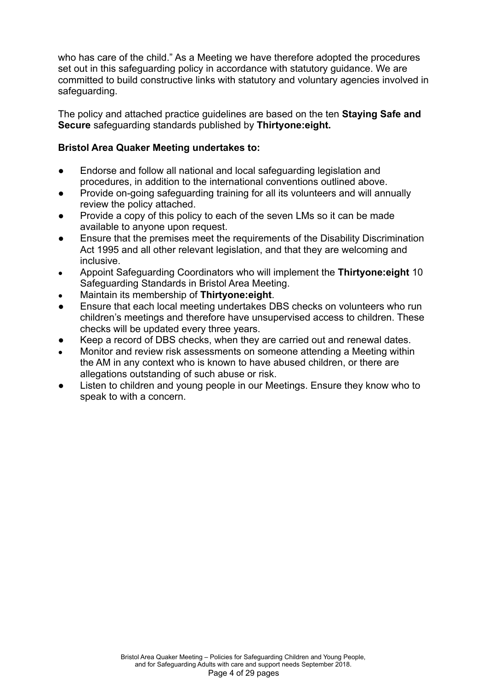who has care of the child." As a Meeting we have therefore adopted the procedures set out in this safeguarding policy in accordance with statutory guidance. We are committed to build constructive links with statutory and voluntary agencies involved in safeguarding.

The policy and attached practice guidelines are based on the ten **Staying Safe and Secure** safeguarding standards published by **Thirtyone:eight.**

### **Bristol Area Quaker Meeting undertakes to:**

- Endorse and follow all national and local safeguarding legislation and procedures, in addition to the international conventions outlined above.
- Provide on-going safeguarding training for all its volunteers and will annually review the policy attached.
- Provide a copy of this policy to each of the seven LMs so it can be made available to anyone upon request.
- Ensure that the premises meet the requirements of the Disability Discrimination Act 1995 and all other relevant legislation, and that they are welcoming and inclusive.
- Appoint Safeguarding Coordinators who will implement the **Thirtyone:eight** 10 Safeguarding Standards in Bristol Area Meeting.
- Maintain its membership of **Thirtyone:eight**.
- Ensure that each local meeting undertakes DBS checks on volunteers who run children's meetings and therefore have unsupervised access to children. These checks will be updated every three years.
- Keep a record of DBS checks, when they are carried out and renewal dates.
- Monitor and review risk assessments on someone attending a Meeting within the AM in any context who is known to have abused children, or there are allegations outstanding of such abuse or risk.
- Listen to children and young people in our Meetings. Ensure they know who to speak to with a concern.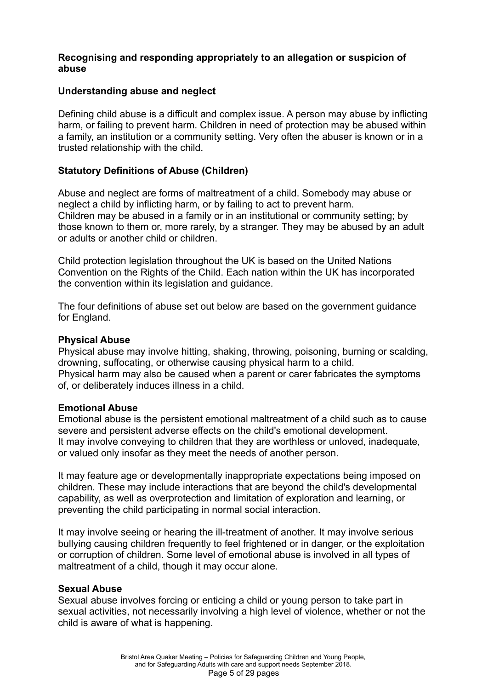#### **Recognising and responding appropriately to an allegation or suspicion of abuse**

#### **Understanding abuse and neglect**

Defining child abuse is a difficult and complex issue. A person may abuse by inflicting harm, or failing to prevent harm. Children in need of protection may be abused within a family, an institution or a community setting. Very often the abuser is known or in a trusted relationship with the child.

### **Statutory Definitions of Abuse (Children)**

Abuse and neglect are forms of maltreatment of a child. Somebody may abuse or neglect a child by inflicting harm, or by failing to act to prevent harm. Children may be abused in a family or in an institutional or community setting; by those known to them or, more rarely, by a stranger. They may be abused by an adult or adults or another child or children.

Child protection legislation throughout the UK is based on the United Nations Convention on the Rights of the Child. Each nation within the UK has incorporated the convention within its legislation and guidance.

The four definitions of abuse set out below are based on the government guidance for England.

#### **Physical Abuse**

Physical abuse may involve hitting, shaking, throwing, poisoning, burning or scalding, drowning, suffocating, or otherwise causing physical harm to a child. Physical harm may also be caused when a parent or carer fabricates the symptoms of, or deliberately induces illness in a child.

#### **Emotional Abuse**

Emotional abuse is the persistent emotional maltreatment of a child such as to cause severe and persistent adverse effects on the child's emotional development. It may involve conveying to children that they are worthless or unloved, inadequate, or valued only insofar as they meet the needs of another person.

It may feature age or developmentally inappropriate expectations being imposed on children. These may include interactions that are beyond the child's developmental capability, as well as overprotection and limitation of exploration and learning, or preventing the child participating in normal social interaction.

It may involve seeing or hearing the ill-treatment of another. It may involve serious bullying causing children frequently to feel frightened or in danger, or the exploitation or corruption of children. Some level of emotional abuse is involved in all types of maltreatment of a child, though it may occur alone.

#### **Sexual Abuse**

Sexual abuse involves forcing or enticing a child or young person to take part in sexual activities, not necessarily involving a high level of violence, whether or not the child is aware of what is happening.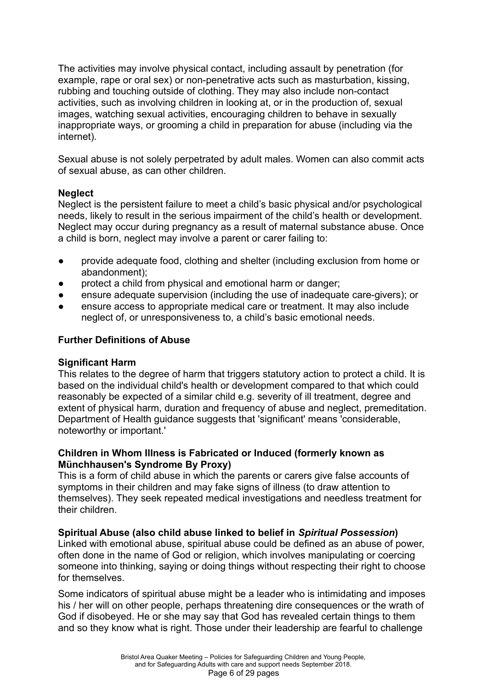The activities may involve physical contact, including assault by penetration (for example, rape or oral sex) or non-penetrative acts such as masturbation, kissing, rubbing and touching outside of clothing. They may also include non-contact activities, such as involving children in looking at, or in the production of, sexual images, watching sexual activities, encouraging children to behave in sexually inappropriate ways, or grooming a child in preparation for abuse (including via the internet).

Sexual abuse is not solely perpetrated by adult males. Women can also commit acts of sexual abuse, as can other children.

#### **Neglect**

Neglect is the persistent failure to meet a child's basic physical and/or psychological needs, likely to result in the serious impairment of the child's health or development. Neglect may occur during pregnancy as a result of maternal substance abuse. Once a child is born, neglect may involve a parent or carer failing to:

- provide adequate food, clothing and shelter (including exclusion from home or abandonment);
- protect a child from physical and emotional harm or danger;
- ensure adequate supervision (including the use of inadequate care-givers); or
- ensure access to appropriate medical care or treatment. It may also include neglect of, or unresponsiveness to, a child's basic emotional needs.

### **Further Definitions of Abuse**

#### **Significant Harm**

This relates to the degree of harm that triggers statutory action to protect a child. It is based on the individual child's health or development compared to that which could reasonably be expected of a similar child e.g. severity of ill treatment, degree and extent of physical harm, duration and frequency of abuse and neglect, premeditation. Department of Health guidance suggests that 'significant' means 'considerable, noteworthy or important.'

#### **Children in Whom Illness is Fabricated or Induced (formerly known as Münchhausen's Syndrome By Proxy)**

This is a form of child abuse in which the parents or carers give false accounts of symptoms in their children and may fake signs of illness (to draw attention to themselves). They seek repeated medical investigations and needless treatment for their children.

#### **Spiritual Abuse (also child abuse linked to belief in** *Spiritual Possession***)**

Linked with emotional abuse, spiritual abuse could be defined as an abuse of power, often done in the name of God or religion, which involves manipulating or coercing someone into thinking, saying or doing things without respecting their right to choose for themselves.

Some indicators of spiritual abuse might be a leader who is intimidating and imposes his / her will on other people, perhaps threatening dire consequences or the wrath of God if disobeyed. He or she may say that God has revealed certain things to them and so they know what is right. Those under their leadership are fearful to challenge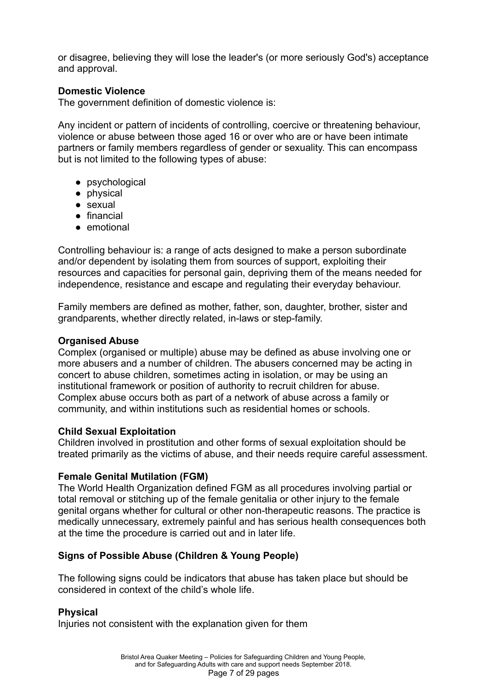or disagree, believing they will lose the leader's (or more seriously God's) acceptance and approval.

#### **Domestic Violence**

The government definition of domestic violence is:

Any incident or pattern of incidents of controlling, coercive or threatening behaviour, violence or abuse between those aged 16 or over who are or have been intimate partners or family members regardless of gender or sexuality. This can encompass but is not limited to the following types of abuse:

- psychological
- physical
- sexual
- financial
- emotional

Controlling behaviour is: a range of acts designed to make a person subordinate and/or dependent by isolating them from sources of support, exploiting their resources and capacities for personal gain, depriving them of the means needed for independence, resistance and escape and regulating their everyday behaviour.

Family members are defined as mother, father, son, daughter, brother, sister and grandparents, whether directly related, in-laws or step-family.

#### **Organised Abuse**

Complex (organised or multiple) abuse may be defined as abuse involving one or more abusers and a number of children. The abusers concerned may be acting in concert to abuse children, sometimes acting in isolation, or may be using an institutional framework or position of authority to recruit children for abuse. Complex abuse occurs both as part of a network of abuse across a family or community, and within institutions such as residential homes or schools.

#### **Child Sexual Exploitation**

Children involved in prostitution and other forms of sexual exploitation should be treated primarily as the victims of abuse, and their needs require careful assessment.

#### **Female Genital Mutilation (FGM)**

The World Health Organization defined FGM as all procedures involving partial or total removal or stitching up of the female genitalia or other injury to the female genital organs whether for cultural or other non-therapeutic reasons. The practice is medically unnecessary, extremely painful and has serious health consequences both at the time the procedure is carried out and in later life.

## **Signs of Possible Abuse (Children & Young People)**

The following signs could be indicators that abuse has taken place but should be considered in context of the child's whole life.

#### **Physical**

Injuries not consistent with the explanation given for them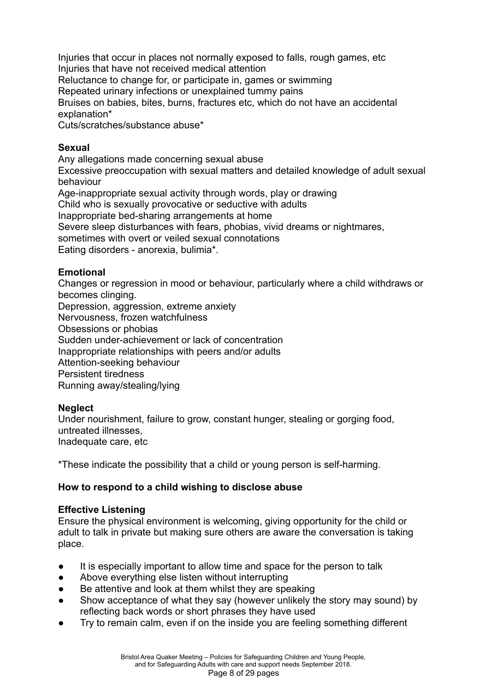Injuries that occur in places not normally exposed to falls, rough games, etc Injuries that have not received medical attention

Reluctance to change for, or participate in, games or swimming

Repeated urinary infections or unexplained tummy pains

Bruises on babies, bites, burns, fractures etc, which do not have an accidental explanation\*

Cuts/scratches/substance abuse\*

#### **Sexual**

Any allegations made concerning sexual abuse

Excessive preoccupation with sexual matters and detailed knowledge of adult sexual behaviour

Age-inappropriate sexual activity through words, play or drawing

Child who is sexually provocative or seductive with adults

Inappropriate bed-sharing arrangements at home

Severe sleep disturbances with fears, phobias, vivid dreams or nightmares,

sometimes with overt or veiled sexual connotations

Eating disorders - anorexia, bulimia\*.

## **Emotional**

Changes or regression in mood or behaviour, particularly where a child withdraws or becomes clinging.

Depression, aggression, extreme anxiety

Nervousness, frozen watchfulness

Obsessions or phobias

Sudden under-achievement or lack of concentration

Inappropriate relationships with peers and/or adults

Attention-seeking behaviour

Persistent tiredness

Running away/stealing/lying

## **Neglect**

Under nourishment, failure to grow, constant hunger, stealing or gorging food, untreated illnesses, Inadequate care, etc

\*These indicate the possibility that a child or young person is self-harming.

## **How to respond to a child wishing to disclose abuse**

## **Effective Listening**

Ensure the physical environment is welcoming, giving opportunity for the child or adult to talk in private but making sure others are aware the conversation is taking place.

- It is especially important to allow time and space for the person to talk
- Above everything else listen without interrupting
- Be attentive and look at them whilst they are speaking
- Show acceptance of what they say (however unlikely the story may sound) by reflecting back words or short phrases they have used
- Try to remain calm, even if on the inside you are feeling something different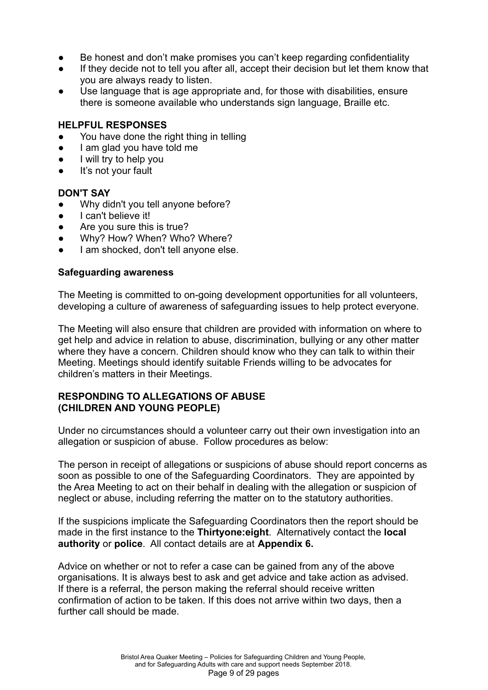- Be honest and don't make promises you can't keep regarding confidentiality
- If they decide not to tell you after all, accept their decision but let them know that you are always ready to listen.
- Use language that is age appropriate and, for those with disabilities, ensure there is someone available who understands sign language, Braille etc.

#### **HELPFUL RESPONSES**

- You have done the right thing in telling
- I am glad you have told me
- I will try to help you
- It's not your fault

#### **DON'T SAY**

- Why didn't you tell anyone before?
- I can't believe it!
- Are you sure this is true?
- Why? How? When? Who? Where?
- I am shocked, don't tell anyone else.

#### **Safeguarding awareness**

The Meeting is committed to on-going development opportunities for all volunteers, developing a culture of awareness of safeguarding issues to help protect everyone.

The Meeting will also ensure that children are provided with information on where to get help and advice in relation to abuse, discrimination, bullying or any other matter where they have a concern. Children should know who they can talk to within their Meeting. Meetings should identify suitable Friends willing to be advocates for children's matters in their Meetings.

#### **RESPONDING TO ALLEGATIONS OF ABUSE (CHILDREN AND YOUNG PEOPLE)**

Under no circumstances should a volunteer carry out their own investigation into an allegation or suspicion of abuse. Follow procedures as below:

The person in receipt of allegations or suspicions of abuse should report concerns as soon as possible to one of the Safeguarding Coordinators. They are appointed by the Area Meeting to act on their behalf in dealing with the allegation or suspicion of neglect or abuse, including referring the matter on to the statutory authorities.

If the suspicions implicate the Safeguarding Coordinators then the report should be made in the first instance to the **Thirtyone:eight**. Alternatively contact the **local authority** or **police**. All contact details are at **Appendix 6.**

Advice on whether or not to refer a case can be gained from any of the above organisations. It is always best to ask and get advice and take action as advised. If there is a referral, the person making the referral should receive written confirmation of action to be taken. If this does not arrive within two days, then a further call should be made.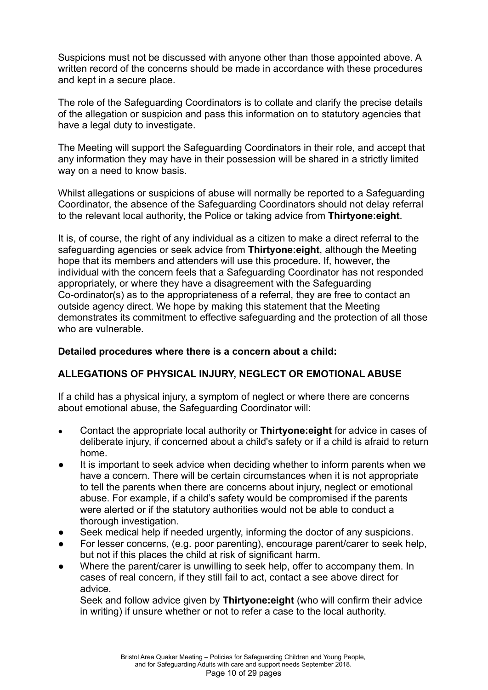Suspicions must not be discussed with anyone other than those appointed above. A written record of the concerns should be made in accordance with these procedures and kept in a secure place.

The role of the Safeguarding Coordinators is to collate and clarify the precise details of the allegation or suspicion and pass this information on to statutory agencies that have a legal duty to investigate.

The Meeting will support the Safeguarding Coordinators in their role, and accept that any information they may have in their possession will be shared in a strictly limited way on a need to know basis.

Whilst allegations or suspicions of abuse will normally be reported to a Safeguarding Coordinator, the absence of the Safeguarding Coordinators should not delay referral to the relevant local authority, the Police or taking advice from **Thirtyone:eight**.

It is, of course, the right of any individual as a citizen to make a direct referral to the safeguarding agencies or seek advice from **Thirtyone:eight**, although the Meeting hope that its members and attenders will use this procedure. If, however, the individual with the concern feels that a Safeguarding Coordinator has not responded appropriately, or where they have a disagreement with the Safeguarding Co-ordinator(s) as to the appropriateness of a referral, they are free to contact an outside agency direct. We hope by making this statement that the Meeting demonstrates its commitment to effective safeguarding and the protection of all those who are vulnerable.

## **Detailed procedures where there is a concern about a child:**

## **ALLEGATIONS OF PHYSICAL INJURY, NEGLECT OR EMOTIONAL ABUSE**

If a child has a physical injury, a symptom of neglect or where there are concerns about emotional abuse, the Safeguarding Coordinator will:

- Contact the appropriate local authority or **Thirtyone:eight** for advice in cases of deliberate injury, if concerned about a child's safety or if a child is afraid to return home.
- It is important to seek advice when deciding whether to inform parents when we have a concern. There will be certain circumstances when it is not appropriate to tell the parents when there are concerns about injury, neglect or emotional abuse. For example, if a child's safety would be compromised if the parents were alerted or if the statutory authorities would not be able to conduct a thorough investigation.
- Seek medical help if needed urgently, informing the doctor of any suspicions.
- For lesser concerns, (e.g. poor parenting), encourage parent/carer to seek help, but not if this places the child at risk of significant harm.
- Where the parent/carer is unwilling to seek help, offer to accompany them. In cases of real concern, if they still fail to act, contact a see above direct for advice.

Seek and follow advice given by **Thirtyone:eight** (who will confirm their advice in writing) if unsure whether or not to refer a case to the local authority.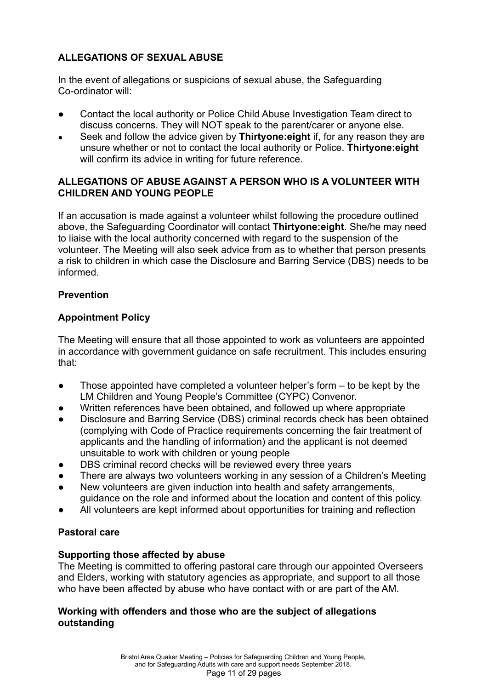## **ALLEGATIONS OF SEXUAL ABUSE**

In the event of allegations or suspicions of sexual abuse, the Safeguarding Co-ordinator will:

- Contact the local authority or Police Child Abuse Investigation Team direct to discuss concerns. They will NOT speak to the parent/carer or anyone else.
- Seek and follow the advice given by **Thirtyone:eight** if, for any reason they are unsure whether or not to contact the local authority or Police. **Thirtyone:eight** will confirm its advice in writing for future reference.

## **ALLEGATIONS OF ABUSE AGAINST A PERSON WHO IS A VOLUNTEER WITH CHILDREN AND YOUNG PEOPLE**

If an accusation is made against a volunteer whilst following the procedure outlined above, the Safeguarding Coordinator will contact **Thirtyone:eight**. She/he may need to liaise with the local authority concerned with regard to the suspension of the volunteer. The Meeting will also seek advice from as to whether that person presents a risk to children in which case the Disclosure and Barring Service (DBS) needs to be informed.

## **Prevention**

## **Appointment Policy**

The Meeting will ensure that all those appointed to work as volunteers are appointed in accordance with government guidance on safe recruitment. This includes ensuring that:

- Those appointed have completed a volunteer helper's form to be kept by the LM Children and Young People's Committee (CYPC) Convenor.
- Written references have been obtained, and followed up where appropriate
- Disclosure and Barring Service (DBS) criminal records check has been obtained (complying with Code of Practice requirements concerning the fair treatment of applicants and the handling of information) and the applicant is not deemed unsuitable to work with children or young people
- DBS criminal record checks will be reviewed every three years
- There are always two volunteers working in any session of a Children's Meeting
- New volunteers are given induction into health and safety arrangements, guidance on the role and informed about the location and content of this policy.
- All volunteers are kept informed about opportunities for training and reflection

## **Pastoral care**

## **Supporting those affected by abuse**

The Meeting is committed to offering pastoral care through our appointed Overseers and Elders, working with statutory agencies as appropriate, and support to all those who have been affected by abuse who have contact with or are part of the AM.

#### **Working with offenders and those who are the subject of allegations outstanding**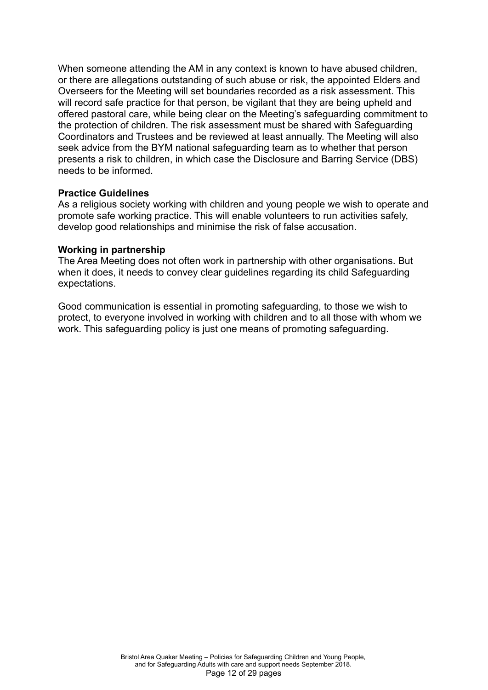When someone attending the AM in any context is known to have abused children, or there are allegations outstanding of such abuse or risk, the appointed Elders and Overseers for the Meeting will set boundaries recorded as a risk assessment. This will record safe practice for that person, be vigilant that they are being upheld and offered pastoral care, while being clear on the Meeting's safeguarding commitment to the protection of children. The risk assessment must be shared with Safeguarding Coordinators and Trustees and be reviewed at least annually. The Meeting will also seek advice from the BYM national safeguarding team as to whether that person presents a risk to children, in which case the Disclosure and Barring Service (DBS) needs to be informed.

#### **Practice Guidelines**

As a religious society working with children and young people we wish to operate and promote safe working practice. This will enable volunteers to run activities safely, develop good relationships and minimise the risk of false accusation.

#### **Working in partnership**

The Area Meeting does not often work in partnership with other organisations. But when it does, it needs to convey clear guidelines regarding its child Safeguarding expectations.

Good communication is essential in promoting safeguarding, to those we wish to protect, to everyone involved in working with children and to all those with whom we work. This safeguarding policy is just one means of promoting safeguarding.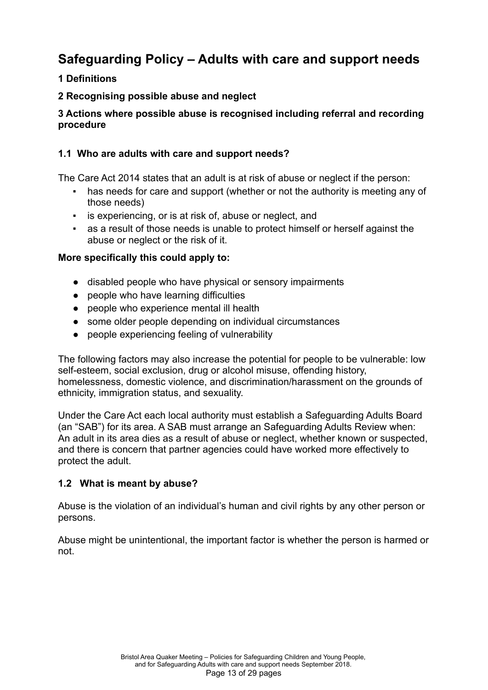# **Safeguarding Policy – Adults with care and support needs**

## **1 Definitions**

## **2 Recognising possible abuse and neglect**

## **3 Actions where possible abuse is recognised including referral and recording procedure**

## **1.1 Who are adults with care and support needs?**

The Care Act 2014 states that an adult is at risk of abuse or neglect if the person:

- has needs for care and support (whether or not the authority is meeting any of those needs)
- **EXECT** is experiencing, or is at risk of, abuse or neglect, and
- as a result of those needs is unable to protect himself or herself against the abuse or neglect or the risk of it.

## **More specifically this could apply to:**

- disabled people who have physical or sensory impairments
- people who have learning difficulties
- people who experience mental ill health
- some older people depending on individual circumstances
- people experiencing feeling of vulnerability

The following factors may also increase the potential for people to be vulnerable: low self-esteem, social exclusion, drug or alcohol misuse, offending history, homelessness, domestic violence, and discrimination/harassment on the grounds of ethnicity, immigration status, and sexuality.

Under the Care Act each local authority must establish a Safeguarding Adults Board (an "SAB") for its area. A SAB must arrange an Safeguarding Adults Review when: An adult in its area dies as a result of abuse or neglect, whether known or suspected, and there is concern that partner agencies could have worked more effectively to protect the adult.

## **1.2 What is meant by abuse?**

Abuse is the violation of an individual's human and civil rights by any other person or persons.

Abuse might be unintentional, the important factor is whether the person is harmed or not.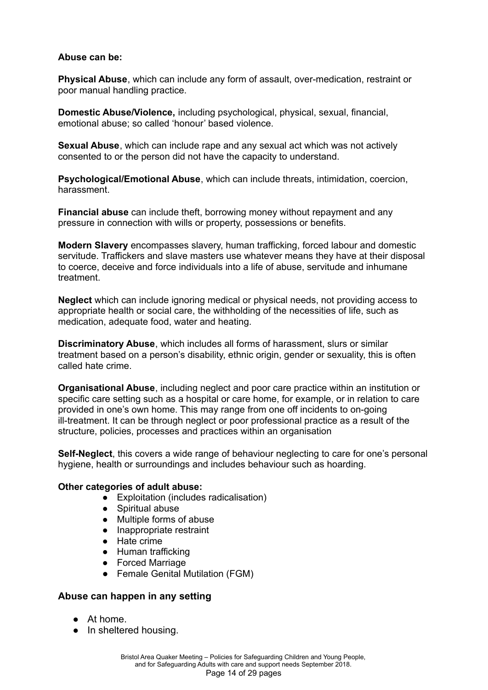#### **Abuse can be:**

**Physical Abuse**, which can include any form of assault, over-medication, restraint or poor manual handling practice.

**Domestic Abuse/Violence,** including psychological, physical, sexual, financial, emotional abuse; so called 'honour' based violence.

**Sexual Abuse**, which can include rape and any sexual act which was not actively consented to or the person did not have the capacity to understand.

**Psychological/Emotional Abuse**, which can include threats, intimidation, coercion, harassment.

**Financial abuse** can include theft, borrowing money without repayment and any pressure in connection with wills or property, possessions or benefits.

**Modern Slavery** encompasses slavery, human trafficking, forced labour and domestic servitude. Traffickers and slave masters use whatever means they have at their disposal to coerce, deceive and force individuals into a life of abuse, servitude and inhumane treatment.

**Neglect** which can include ignoring medical or physical needs, not providing access to appropriate health or social care, the withholding of the necessities of life, such as medication, adequate food, water and heating.

**Discriminatory Abuse**, which includes all forms of harassment, slurs or similar treatment based on a person's disability, ethnic origin, gender or sexuality, this is often called hate crime.

**Organisational Abuse**, including neglect and poor care practice within an institution or specific care setting such as a hospital or care home, for example, or in relation to care provided in one's own home. This may range from one off incidents to on-going ill-treatment. It can be through neglect or poor professional practice as a result of the structure, policies, processes and practices within an organisation

**Self-Neglect**, this covers a wide range of behaviour neglecting to care for one's personal hygiene, health or surroundings and includes behaviour such as hoarding.

#### **Other categories of adult abuse:**

- Exploitation (includes radicalisation)
- Spiritual abuse
- Multiple forms of abuse
- Inappropriate restraint
- Hate crime
- Human trafficking
- Forced Marriage
- Female Genital Mutilation (FGM)

#### **Abuse can happen in any setting**

- At home.
- In sheltered housing.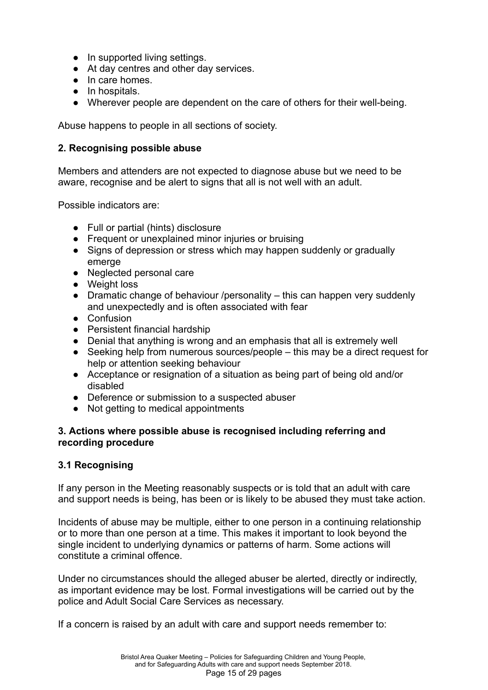- In supported living settings.
- At day centres and other day services.
- In care homes.
- In hospitals.
- Wherever people are dependent on the care of others for their well-being.

Abuse happens to people in all sections of society.

## **2. Recognising possible abuse**

Members and attenders are not expected to diagnose abuse but we need to be aware, recognise and be alert to signs that all is not well with an adult.

Possible indicators are:

- Full or partial (hints) disclosure
- Frequent or unexplained minor injuries or bruising
- Signs of depression or stress which may happen suddenly or gradually emerge
- Neglected personal care
- Weight loss
- Dramatic change of behaviour /personality this can happen very suddenly and unexpectedly and is often associated with fear
- Confusion
- Persistent financial hardship
- Denial that anything is wrong and an emphasis that all is extremely well
- Seeking help from numerous sources/people this may be a direct request for help or attention seeking behaviour
- Acceptance or resignation of a situation as being part of being old and/or disabled
- Deference or submission to a suspected abuser
- Not getting to medical appointments

#### **3. Actions where possible abuse is recognised including referring and recording procedure**

## **3.1 Recognising**

If any person in the Meeting reasonably suspects or is told that an adult with care and support needs is being, has been or is likely to be abused they must take action.

Incidents of abuse may be multiple, either to one person in a continuing relationship or to more than one person at a time. This makes it important to look beyond the single incident to underlying dynamics or patterns of harm. Some actions will constitute a criminal offence.

Under no circumstances should the alleged abuser be alerted, directly or indirectly, as important evidence may be lost. Formal investigations will be carried out by the police and Adult Social Care Services as necessary.

If a concern is raised by an adult with care and support needs remember to: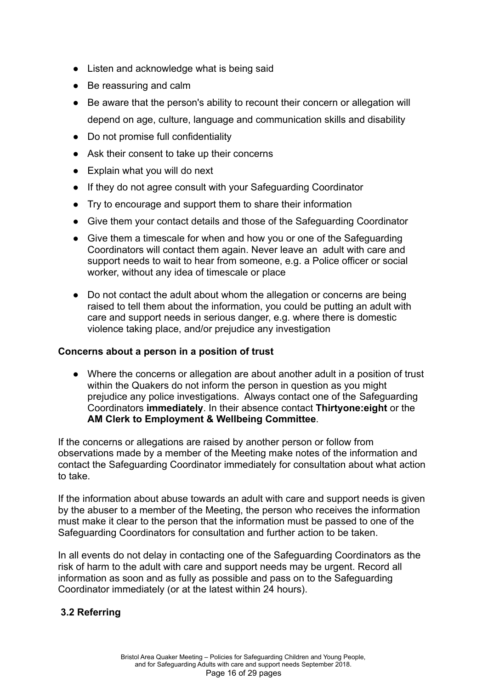- Listen and acknowledge what is being said
- Be reassuring and calm
- Be aware that the person's ability to recount their concern or allegation will depend on age, culture, language and communication skills and disability
- Do not promise full confidentiality
- Ask their consent to take up their concerns
- Explain what you will do next
- If they do not agree consult with your Safeguarding Coordinator
- Try to encourage and support them to share their information
- Give them your contact details and those of the Safeguarding Coordinator
- Give them a timescale for when and how you or one of the Safeguarding Coordinators will contact them again. Never leave an adult with care and support needs to wait to hear from someone, e.g. a Police officer or social worker, without any idea of timescale or place
- Do not contact the adult about whom the allegation or concerns are being raised to tell them about the information, you could be putting an adult with care and support needs in serious danger, e.g. where there is domestic violence taking place, and/or prejudice any investigation

#### **Concerns about a person in a position of trust**

● Where the concerns or allegation are about another adult in a position of trust within the Quakers do not inform the person in question as you might prejudice any police investigations. Always contact one of the Safeguarding Coordinators **immediately**. In their absence contact **Thirtyone:eight** or the **AM Clerk to Employment & Wellbeing Committee**.

If the concerns or allegations are raised by another person or follow from observations made by a member of the Meeting make notes of the information and contact the Safeguarding Coordinator immediately for consultation about what action to take.

If the information about abuse towards an adult with care and support needs is given by the abuser to a member of the Meeting, the person who receives the information must make it clear to the person that the information must be passed to one of the Safeguarding Coordinators for consultation and further action to be taken.

In all events do not delay in contacting one of the Safeguarding Coordinators as the risk of harm to the adult with care and support needs may be urgent. Record all information as soon and as fully as possible and pass on to the Safeguarding Coordinator immediately (or at the latest within 24 hours).

#### **3.2 Referring**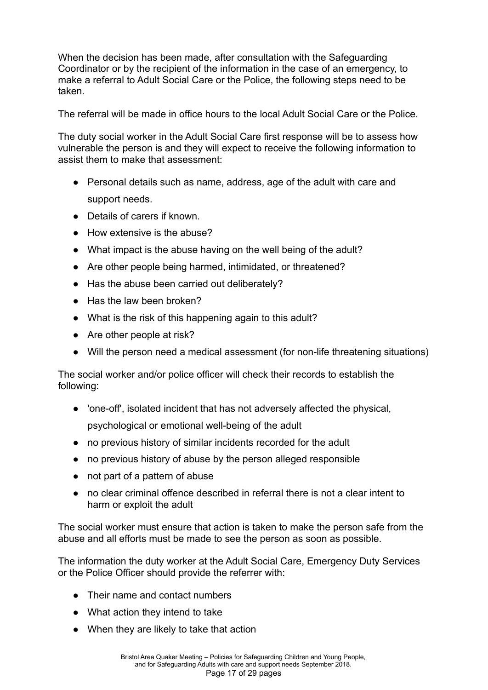When the decision has been made, after consultation with the Safeguarding Coordinator or by the recipient of the information in the case of an emergency, to make a referral to Adult Social Care or the Police, the following steps need to be taken.

The referral will be made in office hours to the local Adult Social Care or the Police.

The duty social worker in the Adult Social Care first response will be to assess how vulnerable the person is and they will expect to receive the following information to assist them to make that assessment:

- Personal details such as name, address, age of the adult with care and support needs.
- Details of carers if known.
- How extensive is the abuse?
- What impact is the abuse having on the well being of the adult?
- Are other people being harmed, intimidated, or threatened?
- Has the abuse been carried out deliberately?
- Has the law been broken?
- What is the risk of this happening again to this adult?
- Are other people at risk?
- Will the person need a medical assessment (for non-life threatening situations)

The social worker and/or police officer will check their records to establish the following:

- 'one-off', isolated incident that has not adversely affected the physical, psychological or emotional well-being of the adult
- no previous history of similar incidents recorded for the adult
- no previous history of abuse by the person alleged responsible
- not part of a pattern of abuse
- no clear criminal offence described in referral there is not a clear intent to harm or exploit the adult

The social worker must ensure that action is taken to make the person safe from the abuse and all efforts must be made to see the person as soon as possible.

The information the duty worker at the Adult Social Care, Emergency Duty Services or the Police Officer should provide the referrer with:

- Their name and contact numbers
- What action they intend to take
- When they are likely to take that action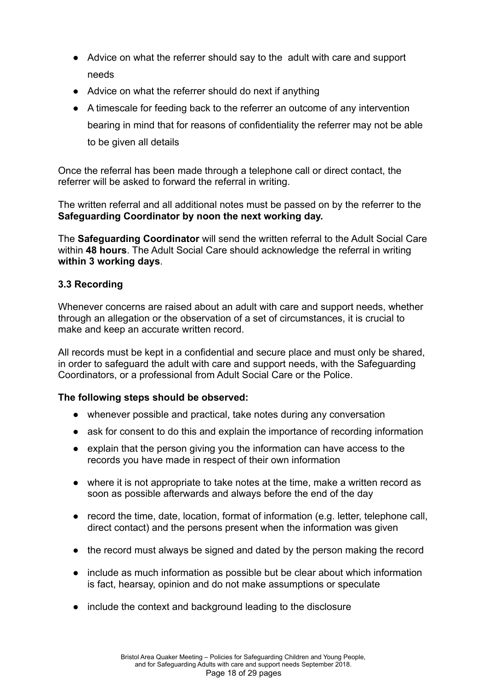- Advice on what the referrer should say to the adult with care and support needs
- Advice on what the referrer should do next if anything
- A timescale for feeding back to the referrer an outcome of any intervention bearing in mind that for reasons of confidentiality the referrer may not be able to be given all details

Once the referral has been made through a telephone call or direct contact, the referrer will be asked to forward the referral in writing.

The written referral and all additional notes must be passed on by the referrer to the **Safeguarding Coordinator by noon the next working day.**

The **Safeguarding Coordinator** will send the written referral to the Adult Social Care within **48 hours**. The Adult Social Care should acknowledge the referral in writing **within 3 working days**.

## **3.3 Recording**

Whenever concerns are raised about an adult with care and support needs, whether through an allegation or the observation of a set of circumstances, it is crucial to make and keep an accurate written record.

All records must be kept in a confidential and secure place and must only be shared, in order to safeguard the adult with care and support needs, with the Safeguarding Coordinators, or a professional from Adult Social Care or the Police.

#### **The following steps should be observed:**

- whenever possible and practical, take notes during any conversation
- ask for consent to do this and explain the importance of recording information
- explain that the person giving you the information can have access to the records you have made in respect of their own information
- where it is not appropriate to take notes at the time, make a written record as soon as possible afterwards and always before the end of the day
- record the time, date, location, format of information (e.g. letter, telephone call, direct contact) and the persons present when the information was given
- the record must always be signed and dated by the person making the record
- include as much information as possible but be clear about which information is fact, hearsay, opinion and do not make assumptions or speculate
- include the context and background leading to the disclosure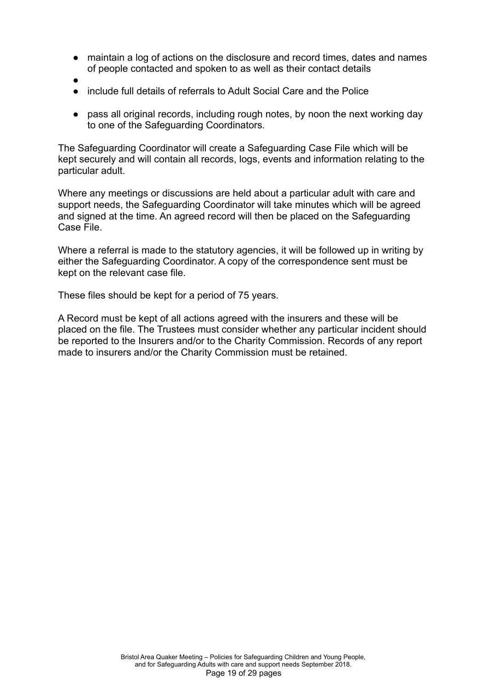- maintain a log of actions on the disclosure and record times, dates and names of people contacted and spoken to as well as their contact details
- ●
- include full details of referrals to Adult Social Care and the Police
- pass all original records, including rough notes, by noon the next working day to one of the Safeguarding Coordinators.

The Safeguarding Coordinator will create a Safeguarding Case File which will be kept securely and will contain all records, logs, events and information relating to the particular adult.

Where any meetings or discussions are held about a particular adult with care and support needs, the Safeguarding Coordinator will take minutes which will be agreed and signed at the time. An agreed record will then be placed on the Safeguarding Case File.

Where a referral is made to the statutory agencies, it will be followed up in writing by either the Safeguarding Coordinator. A copy of the correspondence sent must be kept on the relevant case file.

These files should be kept for a period of 75 years.

A Record must be kept of all actions agreed with the insurers and these will be placed on the file. The Trustees must consider whether any particular incident should be reported to the Insurers and/or to the Charity Commission. Records of any report made to insurers and/or the Charity Commission must be retained.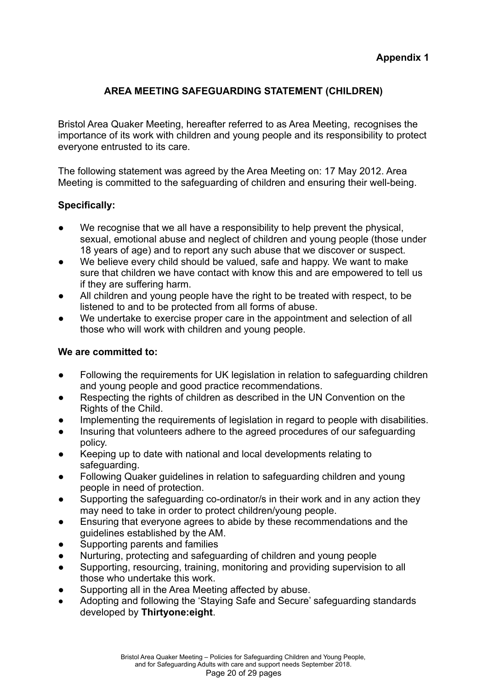## **AREA MEETING SAFEGUARDING STATEMENT (CHILDREN)**

Bristol Area Quaker Meeting, hereafter referred to as Area Meeting, recognises the importance of its work with children and young people and its responsibility to protect everyone entrusted to its care.

The following statement was agreed by the Area Meeting on: 17 May 2012. Area Meeting is committed to the safeguarding of children and ensuring their well-being.

## **Specifically:**

- We recognise that we all have a responsibility to help prevent the physical, sexual, emotional abuse and neglect of children and young people (those under 18 years of age) and to report any such abuse that we discover or suspect.
- We believe every child should be valued, safe and happy. We want to make sure that children we have contact with know this and are empowered to tell us if they are suffering harm.
- All children and young people have the right to be treated with respect, to be listened to and to be protected from all forms of abuse.
- We undertake to exercise proper care in the appointment and selection of all those who will work with children and young people.

#### **We are committed to:**

- Following the requirements for UK legislation in relation to safeguarding children and young people and good practice recommendations.
- Respecting the rights of children as described in the UN Convention on the Rights of the Child.
- Implementing the requirements of legislation in regard to people with disabilities.
- Insuring that volunteers adhere to the agreed procedures of our safeguarding policy.
- Keeping up to date with national and local developments relating to safeguarding.
- Following Quaker guidelines in relation to safeguarding children and young people in need of protection.
- Supporting the safeguarding co-ordinator/s in their work and in any action they may need to take in order to protect children/young people.
- Ensuring that everyone agrees to abide by these recommendations and the guidelines established by the AM.
- Supporting parents and families
- Nurturing, protecting and safeguarding of children and young people
- Supporting, resourcing, training, monitoring and providing supervision to all those who undertake this work.
- Supporting all in the Area Meeting affected by abuse.
- Adopting and following the 'Staying Safe and Secure' safeguarding standards developed by **Thirtyone:eight**.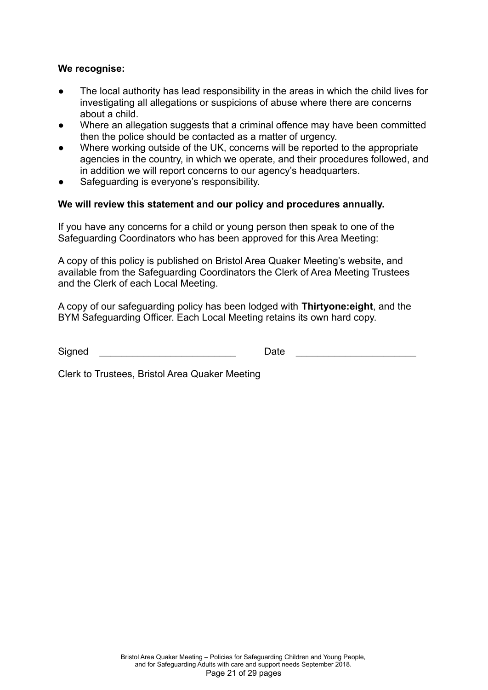#### **We recognise:**

- The local authority has lead responsibility in the areas in which the child lives for investigating all allegations or suspicions of abuse where there are concerns about a child.
- Where an allegation suggests that a criminal offence may have been committed then the police should be contacted as a matter of urgency.
- Where working outside of the UK, concerns will be reported to the appropriate agencies in the country, in which we operate, and their procedures followed, and in addition we will report concerns to our agency's headquarters.
- Safeguarding is everyone's responsibility.

#### **We will review this statement and our policy and procedures annually.**

If you have any concerns for a child or young person then speak to one of the Safeguarding Coordinators who has been approved for this Area Meeting:

A copy of this policy is published on Bristol Area Quaker Meeting's website, and available from the Safeguarding Coordinators the Clerk of Area Meeting Trustees and the Clerk of each Local Meeting.

A copy of our safeguarding policy has been lodged with **Thirtyone:eight**, and the BYM Safeguarding Officer. Each Local Meeting retains its own hard copy.

Signed \_\_\_\_\_\_\_\_\_\_\_\_\_\_\_\_\_\_\_\_\_\_\_\_\_ Date \_\_\_\_\_\_\_\_\_\_\_\_\_\_\_\_\_\_\_\_\_\_

Clerk to Trustees, Bristol Area Quaker Meeting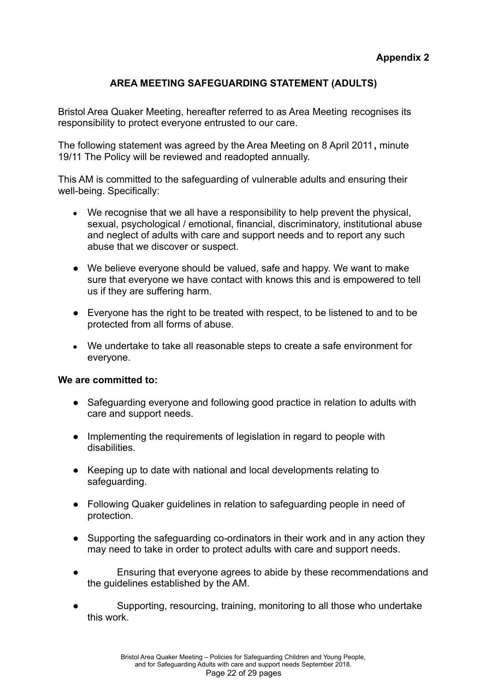## **AREA MEETING SAFEGUARDING STATEMENT (ADULTS)**

Bristol Area Quaker Meeting, hereafter referred to as Area Meeting recognises its responsibility to protect everyone entrusted to our care.

The following statement was agreed by the Area Meeting on 8 April 2011**,** minute 19/11 The Policy will be reviewed and readopted annually.

This AM is committed to the safeguarding of vulnerable adults and ensuring their well-being. Specifically:

- We recognise that we all have a responsibility to help prevent the physical, sexual, psychological / emotional, financial, discriminatory, institutional abuse and neglect of adults with care and support needs and to report any such abuse that we discover or suspect.
- We believe everyone should be valued, safe and happy. We want to make sure that everyone we have contact with knows this and is empowered to tell us if they are suffering harm.
- Everyone has the right to be treated with respect, to be listened to and to be protected from all forms of abuse.
- We undertake to take all reasonable steps to create a safe environment for everyone.

#### **We are committed to:**

- Safeguarding everyone and following good practice in relation to adults with care and support needs.
- Implementing the requirements of legislation in regard to people with disabilities.
- Keeping up to date with national and local developments relating to safeguarding.
- Following Quaker guidelines in relation to safeguarding people in need of protection.
- Supporting the safeguarding co-ordinators in their work and in any action they may need to take in order to protect adults with care and support needs.
- Ensuring that everyone agrees to abide by these recommendations and the guidelines established by the AM.
- Supporting, resourcing, training, monitoring to all those who undertake this work.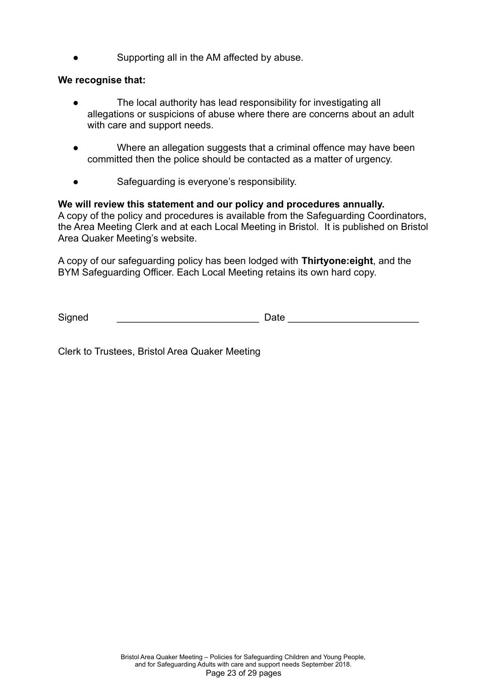Supporting all in the AM affected by abuse.

#### **We recognise that:**

- The local authority has lead responsibility for investigating all allegations or suspicions of abuse where there are concerns about an adult with care and support needs.
- Where an allegation suggests that a criminal offence may have been committed then the police should be contacted as a matter of urgency.
- Safeguarding is everyone's responsibility.

#### **We will review this statement and our policy and procedures annually.**

A copy of the policy and procedures is available from the Safeguarding Coordinators, the Area Meeting Clerk and at each Local Meeting in Bristol. It is published on Bristol Area Quaker Meeting's website.

A copy of our safeguarding policy has been lodged with **Thirtyone:eight**, and the BYM Safeguarding Officer. Each Local Meeting retains its own hard copy.

Signed \_\_\_\_\_\_\_\_\_\_\_\_\_\_\_\_\_\_\_\_\_\_\_\_\_\_ Date \_\_\_\_\_\_\_\_\_\_\_\_\_\_\_\_\_\_\_\_\_\_\_\_

Clerk to Trustees, Bristol Area Quaker Meeting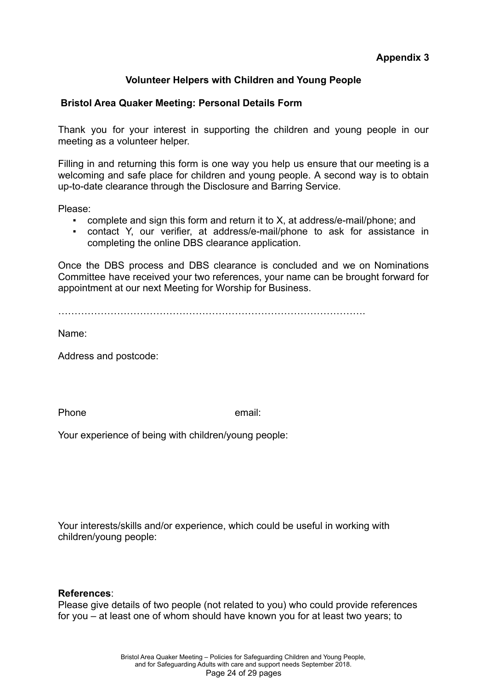### **Volunteer Helpers with Children and Young People**

#### **Bristol Area Quaker Meeting: Personal Details Form**

Thank you for your interest in supporting the children and young people in our meeting as a volunteer helper.

Filling in and returning this form is one way you help us ensure that our meeting is a welcoming and safe place for children and young people. A second way is to obtain up-to-date clearance through the Disclosure and Barring Service.

Please:

- complete and sign this form and return it to X, at address/e-mail/phone; and
- contact Y, our verifier, at address/e-mail/phone to ask for assistance in completing the online DBS clearance application.

Once the DBS process and DBS clearance is concluded and we on Nominations Committee have received your two references, your name can be brought forward for appointment at our next Meeting for Worship for Business.

 $\mathcal{L}^{\text{max}}$ 

Name:

Address and postcode:

Phone email:

Your experience of being with children/young people:

Your interests/skills and/or experience, which could be useful in working with children/young people:

#### **References**:

Please give details of two people (not related to you) who could provide references for you – at least one of whom should have known you for at least two years; to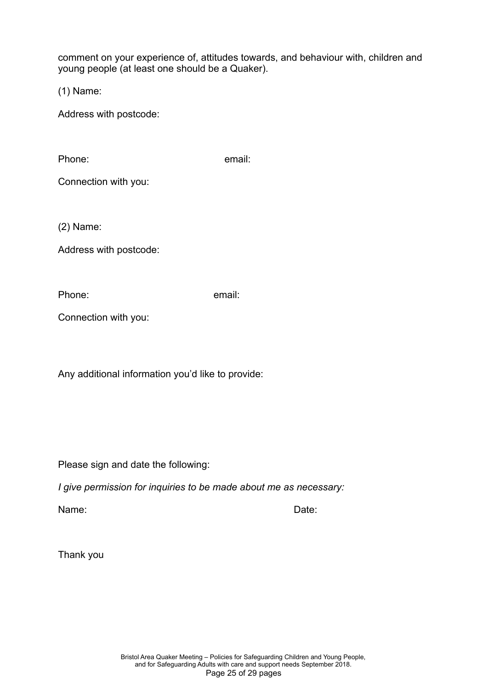comment on your experience of, attitudes towards, and behaviour with, children and young people (at least one should be a Quaker).

(1) Name:

Address with postcode:

Phone: email:

Connection with you:

(2) Name:

Address with postcode:

Phone: email:

Connection with you:

Any additional information you'd like to provide:

Please sign and date the following:

*I give permission for inquiries to be made about me as necessary:*

Name: Contract the Contract of the Contract of the Date:

Thank you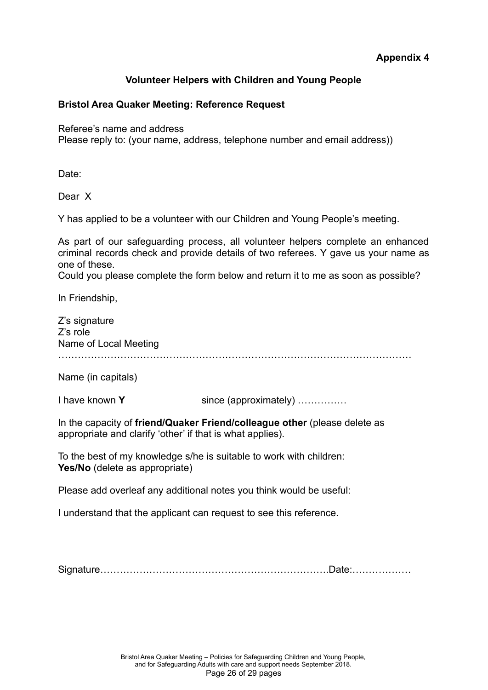#### **Volunteer Helpers with Children and Young People**

#### **Bristol Area Quaker Meeting: Reference Request**

Referee's name and address

Please reply to: (your name, address, telephone number and email address))

Date:

Dear X

Y has applied to be a volunteer with our Children and Young People's meeting.

As part of our safeguarding process, all volunteer helpers complete an enhanced criminal records check and provide details of two referees. Y gave us your name as one of these.

Could you please complete the form below and return it to me as soon as possible?

In Friendship,

Z's signature Z's role Name of Local Meeting ………………………………………………………………………………………………

Name (in capitals)

I have known **Y** since (approximately) ……………

In the capacity of **friend/Quaker Friend/colleague other** (please delete as appropriate and clarify 'other' if that is what applies).

To the best of my knowledge s/he is suitable to work with children: **Yes/No** (delete as appropriate)

Please add overleaf any additional notes you think would be useful:

I understand that the applicant can request to see this reference.

Signature…………………………………………………………….Date:………………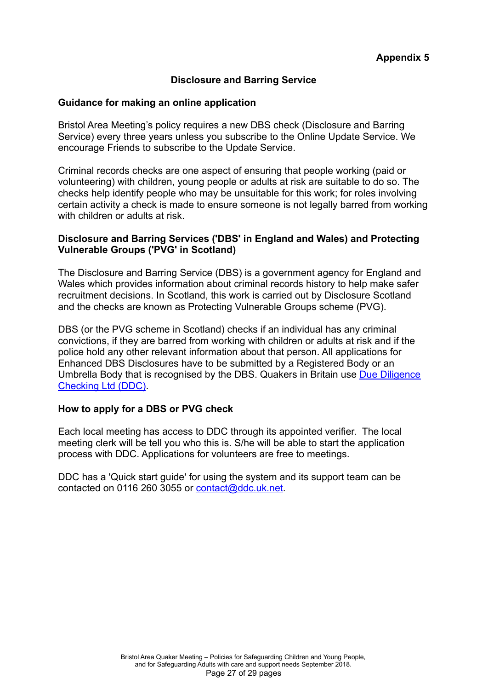### **Disclosure and Barring Service**

#### **Guidance for making an online application**

Bristol Area Meeting's policy requires a new DBS check (Disclosure and Barring Service) every three years unless you subscribe to the Online Update Service. We encourage Friends to subscribe to the Update Service.

Criminal records checks are one aspect of ensuring that people working (paid or volunteering) with children, young people or adults at risk are suitable to do so. The checks help identify people who may be unsuitable for this work; for roles involving certain activity a check is made to ensure someone is not legally barred from working with children or adults at risk.

#### **Disclosure and Barring Services ('DBS' in England and Wales) and Protecting Vulnerable Groups ('PVG' in Scotland)**

The Disclosure and Barring Service (DBS) is a government agency for England and Wales which provides information about criminal records history to help make safer recruitment decisions. In Scotland, this work is carried out by Disclosure Scotland and the checks are known as Protecting Vulnerable Groups scheme (PVG).

DBS (or the PVG scheme in Scotland) checks if an individual has any criminal convictions, if they are barred from working with children or adults at risk and if the police hold any other relevant information about that person. All applications for Enhanced DBS Disclosures have to be submitted by a Registered Body or an Umbrella Body that is recognised by the DBS. Quakers in Britain use [Due Diligence](https://www.ddc.uk.net/) [Checking Ltd \(DDC\)](https://www.ddc.uk.net/).

#### **How to apply for a DBS or PVG check**

Each local meeting has access to DDC through its appointed verifier. The local meeting clerk will be tell you who this is. S/he will be able to start the application process with DDC. Applications for volunteers are free to meetings.

DDC has a 'Quick start guide' for using the system and its support team can be contacted on 0116 260 3055 or [contact@ddc.uk.net.](mailto:contact@ddc.uk.net)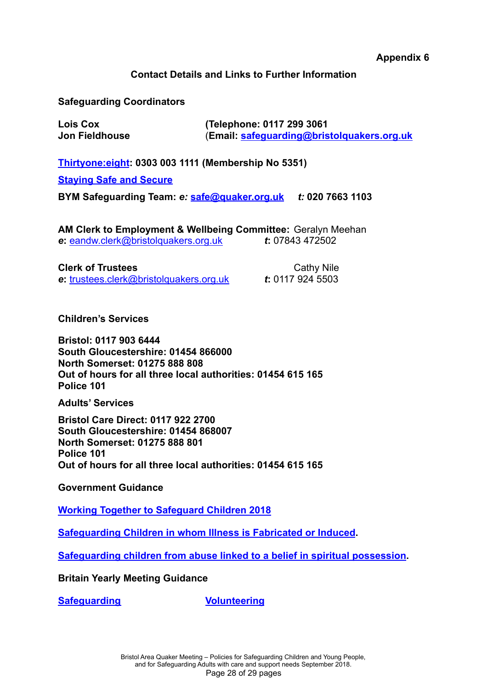**Appendix 6**

#### **Contact Details and Links to Further Information**

#### **Safeguarding Coordinators**

**Lois Cox (Telephone: 0117 299 3061 Jon Fieldhouse** (**Email: [safeguarding@bristolquakers.org.uk](mailto:safeguarding@bristolquakers.org.uk)**

**[Thirtyone:eight](https://thirtyoneeight.org/): 0303 003 1111 (Membership No 5351)**

**[Staying Safe and Secure](https://thirtyoneeight.org/media/2122/stayingsafeandsecure.pdf)**

**BYM Safeguarding Team:** *e:* **[safe@quaker.org.uk](mailto:safe@quaker.org.uk)** *t:* **020 7663 1103**

**AM Clerk to Employment & Wellbeing Committee:** Geralyn Meehan *e***:** [eandw.clerk@bristolquakers.org.uk](mailto:eandw.clerk@bristolquakers.org.uk) *t***:** 07843 472502

**Clerk of Trustees** Cathy Nile

*e***:** [trustees.clerk@bristolquakers.org.uk](mailto:trustees.clerk@bristolquakers.org.uk) *t***:** 0117 924 5503

**Children's Services**

**Bristol: 0117 903 6444 South Gloucestershire: 01454 866000 North Somerset: 01275 888 808 Out of hours for all three local authorities: 01454 615 165 Police 101**

**Adults' Services**

**Bristol Care Direct: 0117 922 2700 South Gloucestershire: 01454 868007 North Somerset: 01275 888 801 Police 101 Out of hours for all three local authorities: 01454 615 165**

**Government Guidance**

**[Working Together to Safeguard Children 2018](https://www.gov.uk/government/uploads/system/uploads/attachment_data/file/729914/Working_Together_to_Safeguard_Children-2018.pdf)**

**[Safeguarding Children in whom Illness is Fabricated or Induced](https://www.gov.uk/government/uploads/system/uploads/attachment_data/file/277314/Safeguarding_Children_in_whom_illness_is_fabricated_or_induced.pdf).**

**[Safeguarding children from abuse linked to a belief in spiritual possession](https://www.gov.uk/government/uploads/system/uploads/attachment_data/file/175437/Action_Plan_-_Abuse_linked_to_Faith_or_Belief.pdf).**

**Britain Yearly Meeting Guidance**

**[Safeguarding](http://www.quaker.org.uk/our-organisation/safeguarding) [Volunteering](http://www.quaker.org.uk/children-and-young-people/volunteering-cyp)**